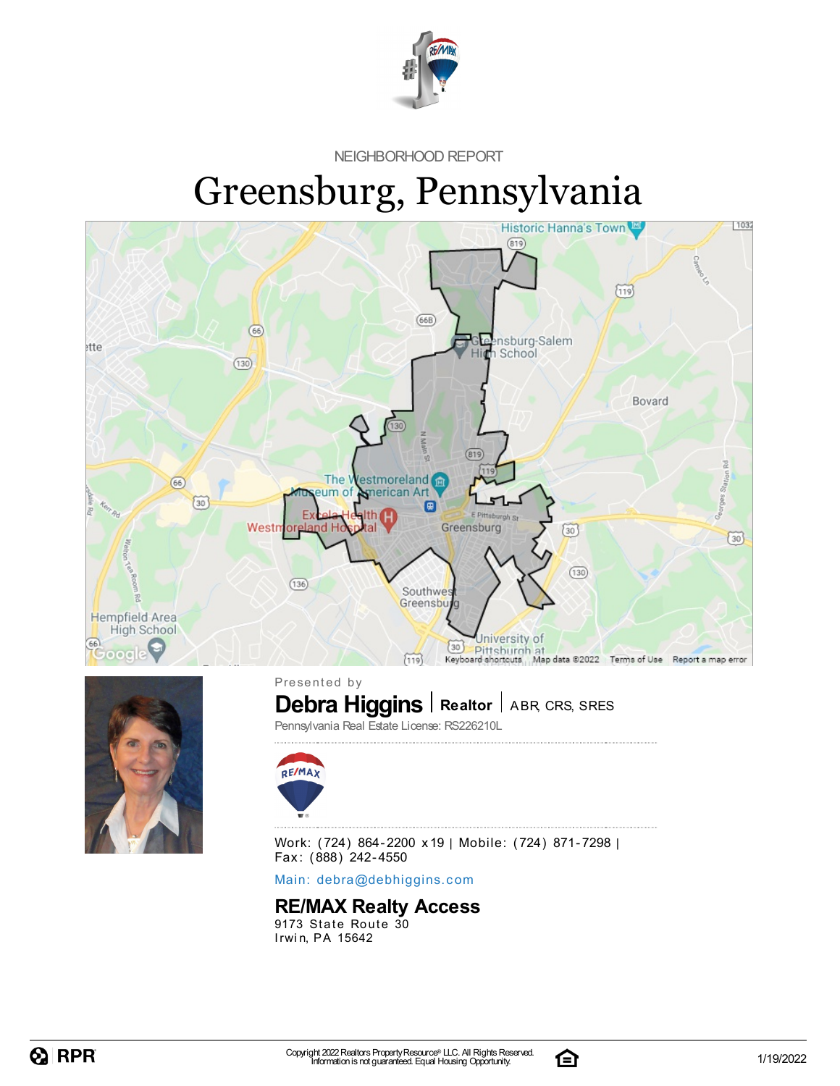

NEIGHBORHOOD REPORT

# Greensburg, Pennsylvania



Work: (724) 864-2200 x19 | Mobile: (724) 871-7298 | Fax: (888) 242-4550

Main: debra[@](mailto:debra@debhiggins.com)debhiggins.com

#### **RE/MAX Realty Access**

9173 State Route 30 Irwin, PA 15642

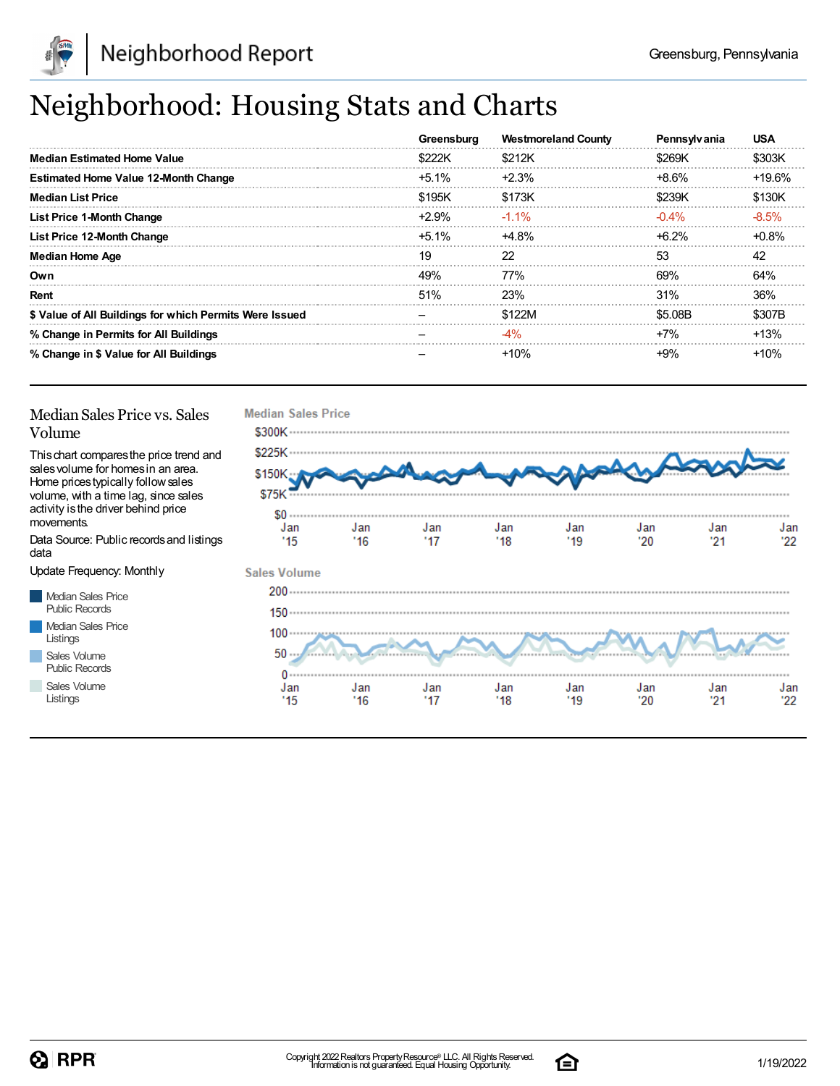

## Neighborhood: Housing Stats and Charts

|                                                         | Greensburg | <b>Westmoreland County</b> | Pennsylvania | <b>USA</b> |
|---------------------------------------------------------|------------|----------------------------|--------------|------------|
| <b>Median Estimated Home Value</b>                      | \$222K     | \$212K                     | \$269K       | \$303K     |
| <b>Estimated Home Value 12-Month Change</b>             | $+5.1\%$   | $+2.3%$                    | +8.6%        | $+19.6%$   |
| <b>Median List Price</b>                                | \$195K     | \$173K                     | \$239K       | \$130K     |
| <b>List Price 1-Month Change</b>                        | $+2.9%$    | $-1.1\%$                   | $-0.4\%$     | $-8.5%$    |
| List Price 12-Month Change                              | $+5.1\%$   | $+4.8%$                    | $+6.2\%$     | $+0.8%$    |
| <b>Median Home Age</b>                                  | 19         | 22                         | 53           | 42         |
| Own                                                     | 49%        | <b>77%</b>                 | 69%          | 64%        |
| Rent                                                    | 51%        | <b>23%</b>                 | 31%          | 36%        |
| \$ Value of All Buildings for which Permits Were Issued |            | \$122M                     | \$5.08B      | \$307B     |
| % Change in Permits for All Buildings                   |            | $-4\%$                     | $+7%$        | +13%       |
| % Change in \$ Value for All Buildings                  |            | $+10%$                     | +9%          | $+10%$     |

#### Median Sales Price vs. Sales Volume

Thischart comparesthe price trend and salesvolume for homesin an area. Home pricestypically followsales volume, with a time lag, since sales activity isthe driver behind price movements.

Data Source: Public recordsand listings data

Update Frequency: Monthly

Median Sales Price Public Records Median Sales Price Listings Sales Volume

Public Records Sales Volume

Listings



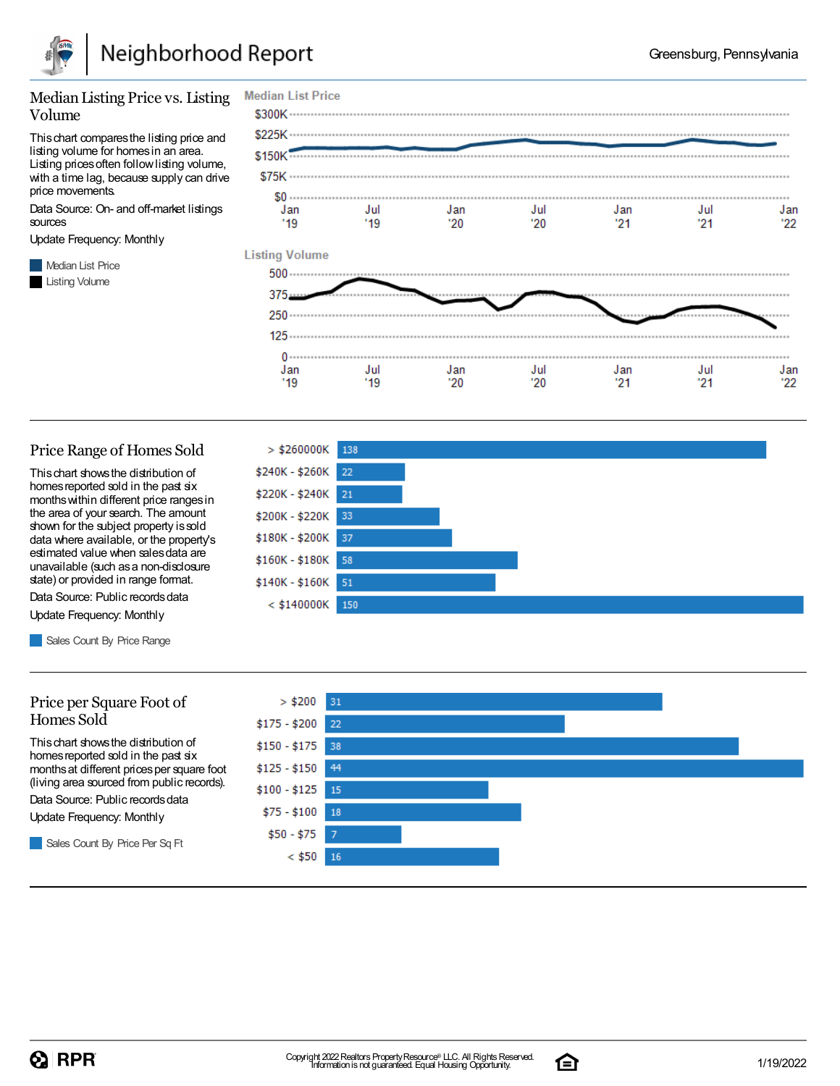

#### Median Listing Price vs. Listing Volume

Thischart comparesthe listing price and listing volume for homesin an area. Listing prices often follow listing volume, with a time lag, because supply can drive price movements.

Data Source: On- and off-market listings sources

Update Frequency: Monthly

**Median List Price** Listing Volume



#### Price Range of Homes Sold

Thischart showsthe distribution of homes reported sold in the past six monthswithin different price rangesin the area of your search. The amount shown for the subject property is sold data where available, or the property's estimated value when salesdata are unavailable (such asa non-disclosure state) or provided in range format.

Data Source: Public records data Update Frequency: Monthly

Sales Count By Price Range

#### Price per Square Foot of Homes Sold

Thischart showsthe distribution of homes reported sold in the past six monthsat different pricesper square foot (living area sourced from public records).

Data Source: Public records data

Update Frequency: Monthly

Sales Count By Price Per Sq Ft





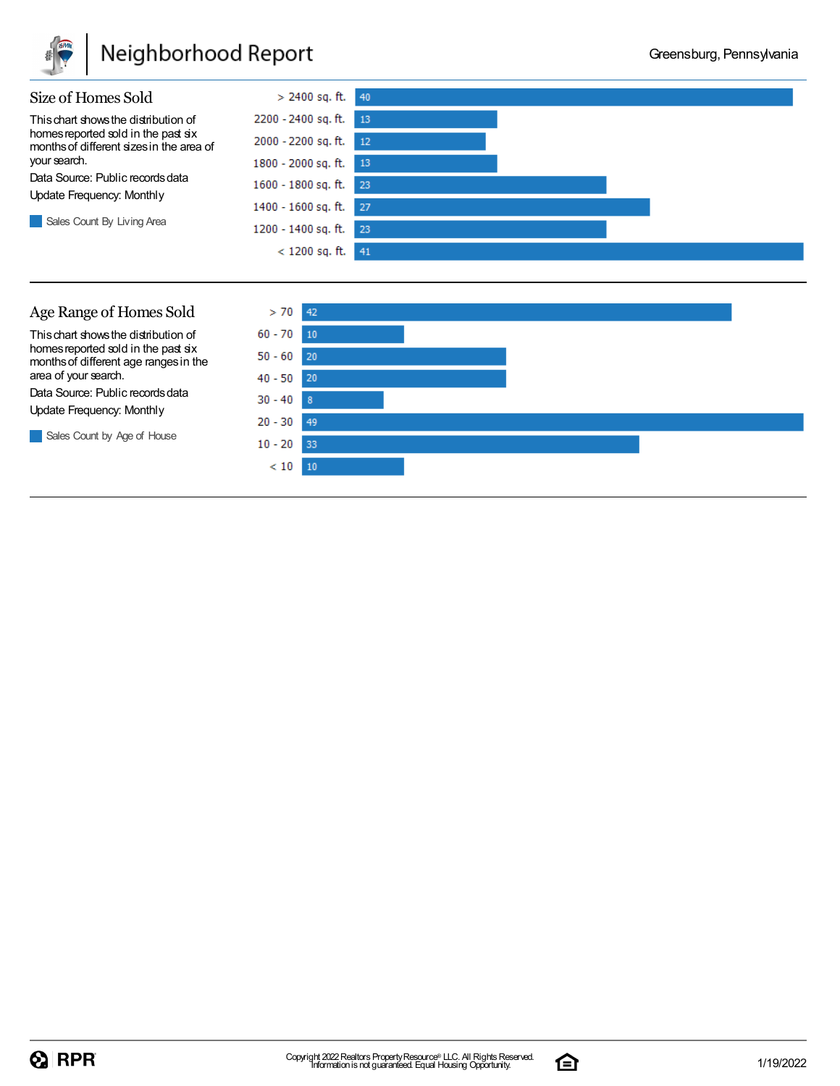

### Neighborhood Report

 $30 - 40$  $20 - 30$ 

 $10 - 20$ 

 $< 10$ 10

49

33



Data Source: Public records data Update Frequency: Monthly

Sales Count by Age of House

Copyright 2022Realtors PropertyResource® LLC. All RightsReserved. Informationis not guaranteed. Equal Housing Opportunity. 1/19/2022

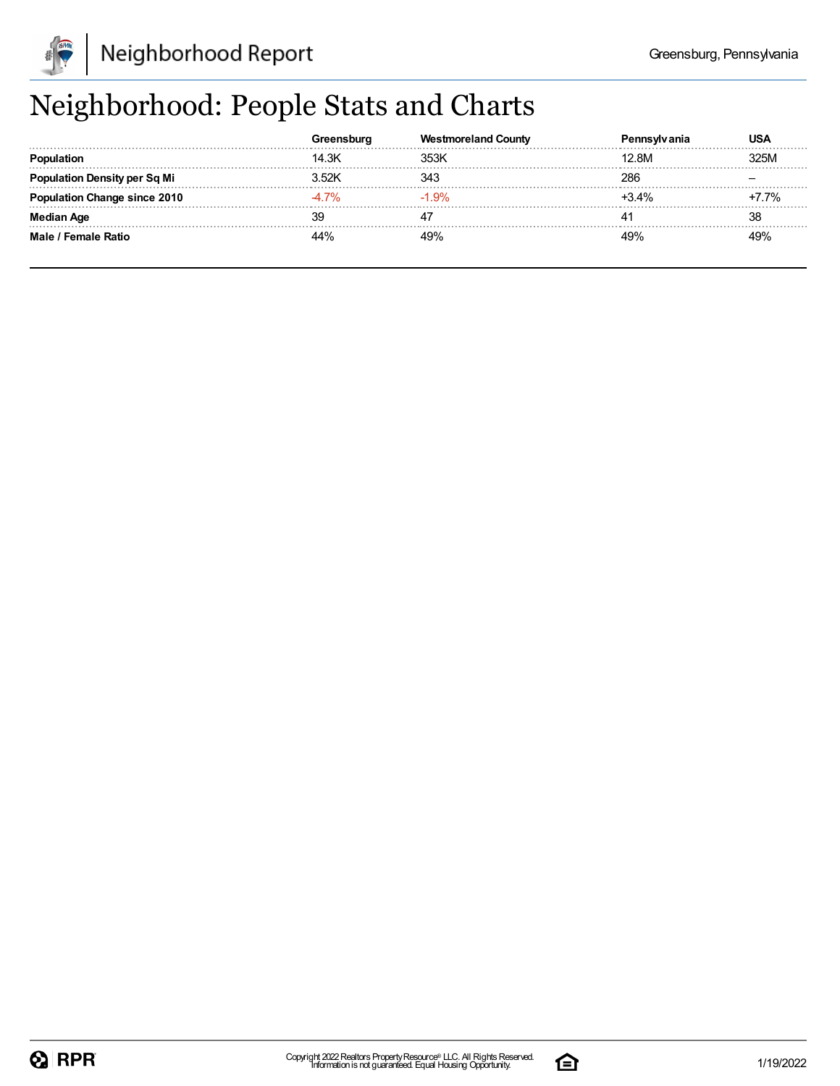

## Neighborhood: People Stats and Charts

|                          |        | Westmoreland County | 'anıa   | USA  |
|--------------------------|--------|---------------------|---------|------|
| Population               | 14.3K  | 353K                | 12.8M   | 325M |
| 'ation Density per Sq Mi | .52K   | 343                 | 286     |      |
| ation Change since 2010  | . 7%   | $-1.9\%$            | $+3.4%$ | 7%   |
| <b>Median Age</b>        |        |                     |         | 38   |
| Male / Female Ratio      | $14\%$ | 49%                 | 49%     | 49%  |

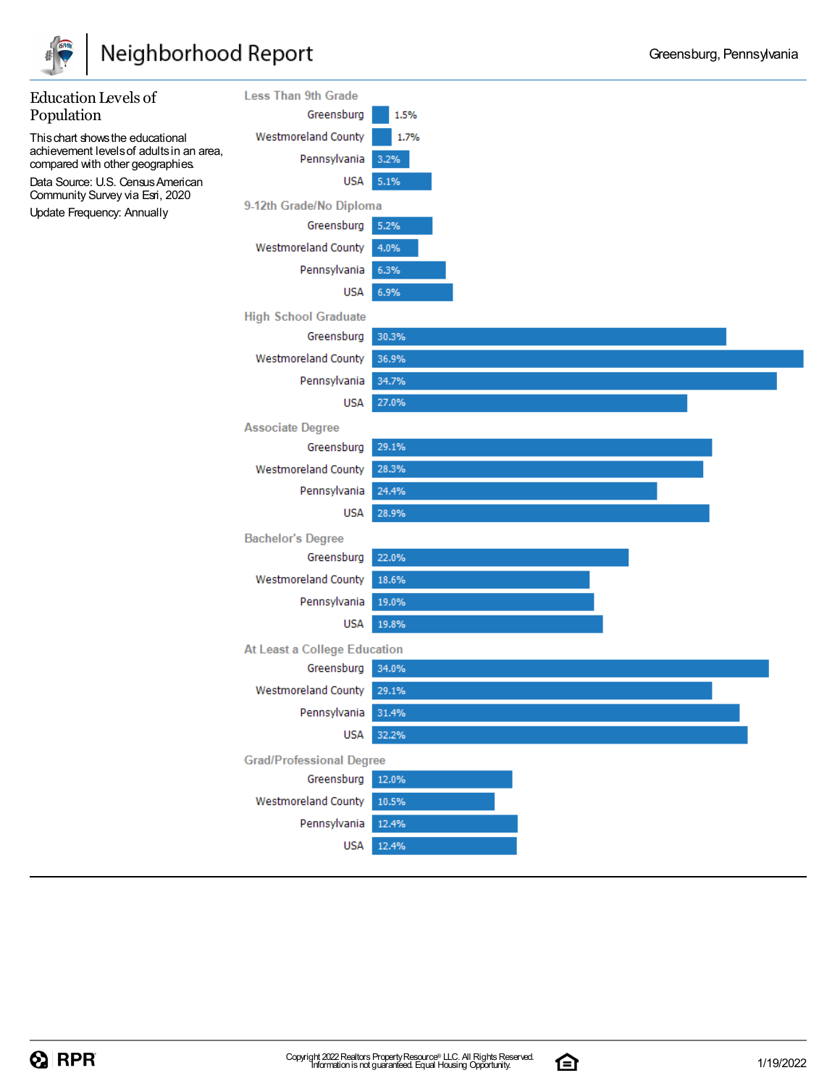

### Neighborhood Report



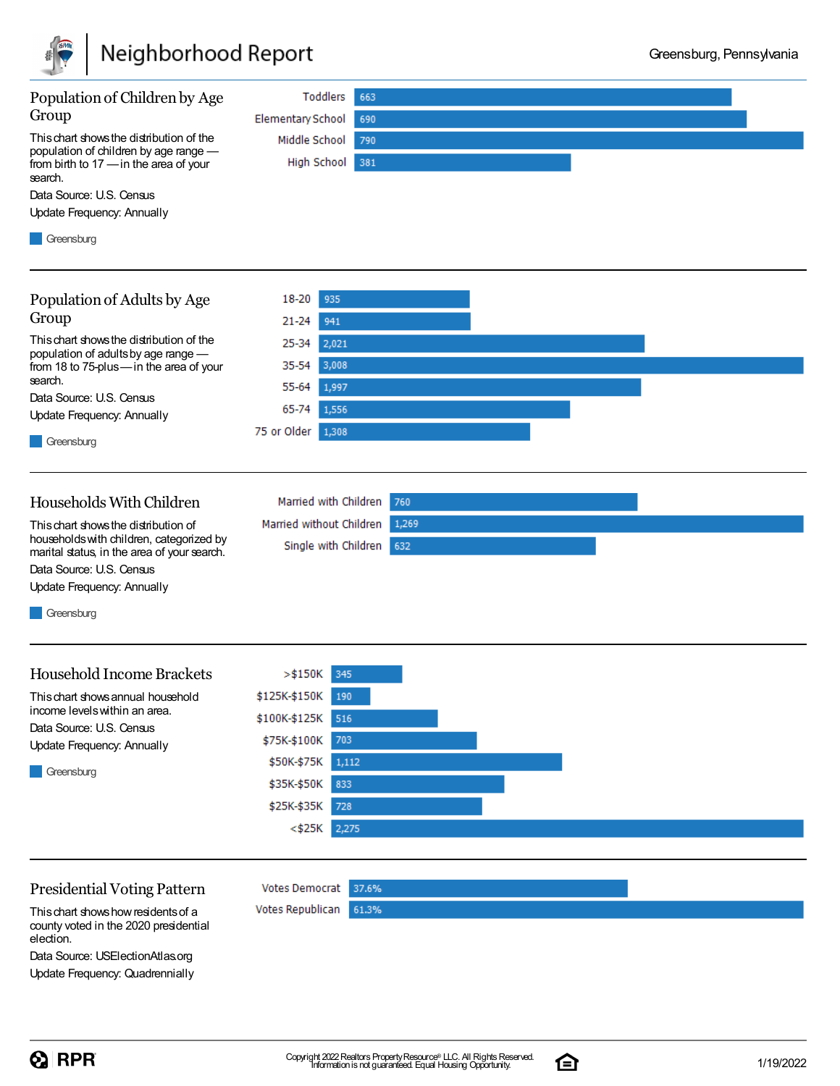



#### Presidential Voting Pattern

Thischart showshowresidentsof a county voted in the 2020 presidential election.

Data Source: USElectionAtlas.org Update Frequency: Quadrennially

 $\Omega$  RPR

Votes Democrat 37.6%

61.3%

Votes Republican

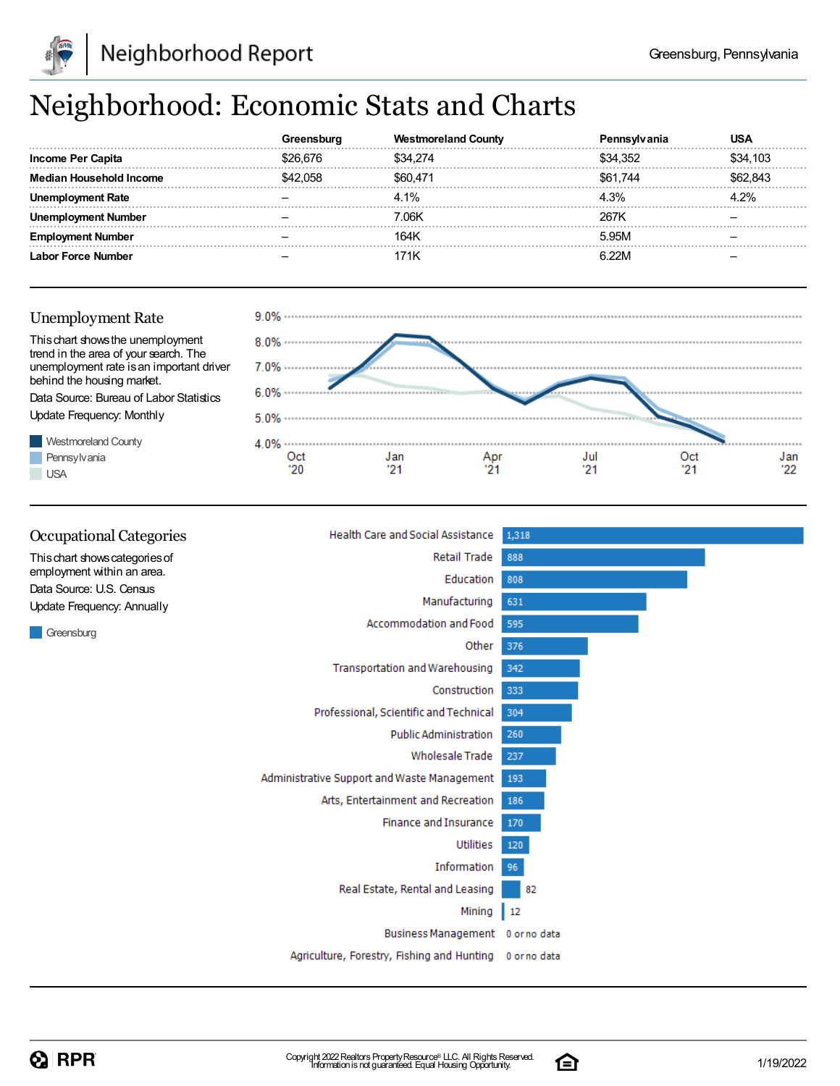

## Neighborhood: Economic Stats and Charts

|                         | stmoreland County | 'anıa    | USA      |
|-------------------------|-------------------|----------|----------|
| Income Per Capita       | \$34.274          | \$34 352 | \$34.103 |
| Median Household Income | \$60.471          | \$61.744 | ን ጸ43    |
| <b>Rate</b>             | 4.1%              | 4.3%     | 1 2%     |
| Number                  | 7.06K             | 267K     |          |
| Number                  | 164K              | 5.95M    |          |
| Labor Force Number      |                   |          |          |



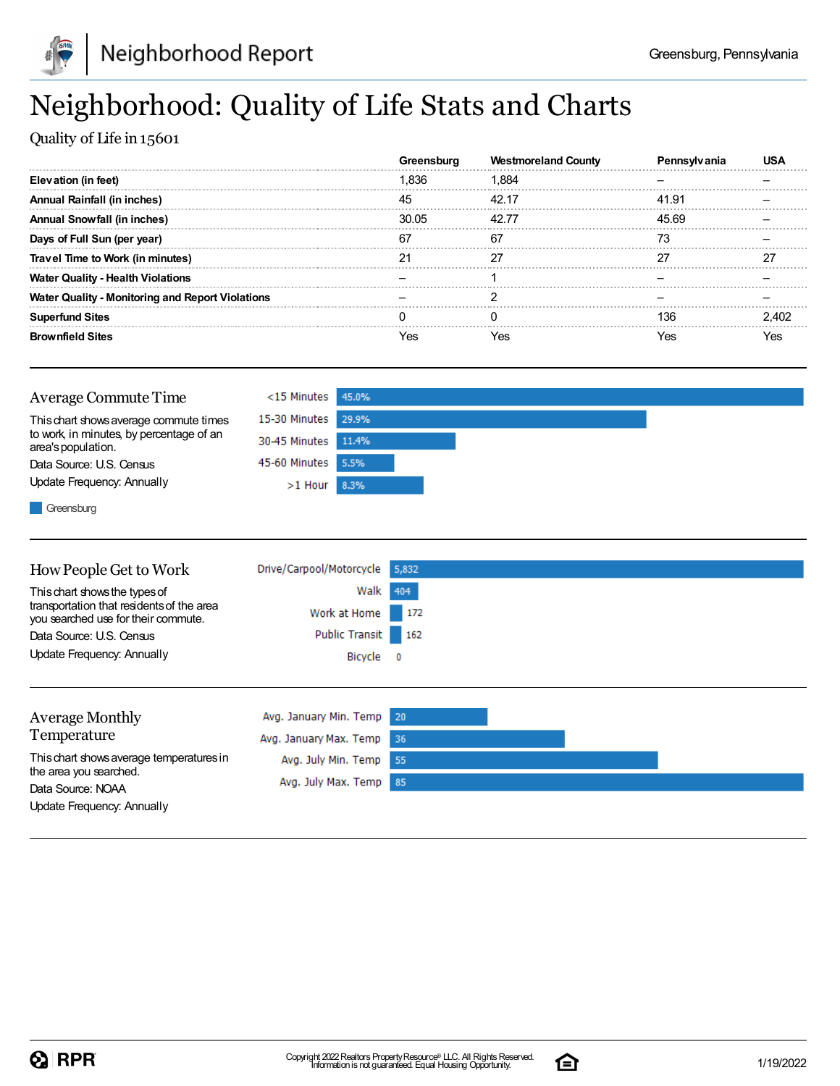

## Neighborhood: Quality of Life Stats and Charts

Quality of Life in 15601

|                                                         |       | <b>Westmoreland County</b> |       |  |
|---------------------------------------------------------|-------|----------------------------|-------|--|
| Elevation (in feet)                                     | Ⅰ.836 | 1.884                      |       |  |
| Annual Rainfall (in inches)                             | 45    | 42.17                      | 41.91 |  |
| <b>Annual Snowfall (in inches)</b>                      | 30.05 | 42.77                      | 45.69 |  |
| Days of Full Sun (per year)                             |       | 67                         |       |  |
| Travel Time to Work (in minutes)                        |       |                            |       |  |
| <b>Water Quality - Health Violations</b>                |       |                            |       |  |
| <b>Water Quality - Monitoring and Report Violations</b> |       |                            |       |  |
| <b>Superfund Sites</b>                                  |       |                            | 136   |  |
| <b>Brownfield Sites</b>                                 | 'es   | Yes                        | /es   |  |

| Average Commute Time                                           | <15 Minutes 45.0%   |  |
|----------------------------------------------------------------|---------------------|--|
| This chart shows average commute times                         | 15-30 Minutes 29.9% |  |
| to work, in minutes, by percentage of an<br>area's population. | 30-45 Minutes 11.4% |  |
| Data Source: U.S. Census                                       | 45-60 Minutes 5.5%  |  |
| Update Frequency: Annually                                     | $>1$ Hour 8.3%      |  |
| $\blacksquare$                                                 |                     |  |

Greensburg

| How People Get to Work                                                           | Drive/Carpool/Motorcycle | 5,832                   |  |
|----------------------------------------------------------------------------------|--------------------------|-------------------------|--|
| This chart shows the types of                                                    | Walk                     | 404                     |  |
| transportation that residents of the area<br>you searched use for their commute. | Work at Home             | $-172$                  |  |
| Data Source: U.S. Census                                                         | <b>Public Transit</b>    | 162                     |  |
| Update Frequency: Annually                                                       | Bicycle                  | $\overline{\mathbf{0}}$ |  |
|                                                                                  |                          |                         |  |
| <b>Average Monthly</b>                                                           | Avg. January Min. Temp   | 20                      |  |
| Temperature                                                                      | Avg. January Max. Temp   | -36                     |  |
| This chart shows average temperatures in                                         | Avg. July Min. Temp      | 55                      |  |
| the area you searched.<br>Data Source: NOAA                                      | Avg. July Max. Temp      | 85                      |  |
| Update Frequency: Annually                                                       |                          |                         |  |

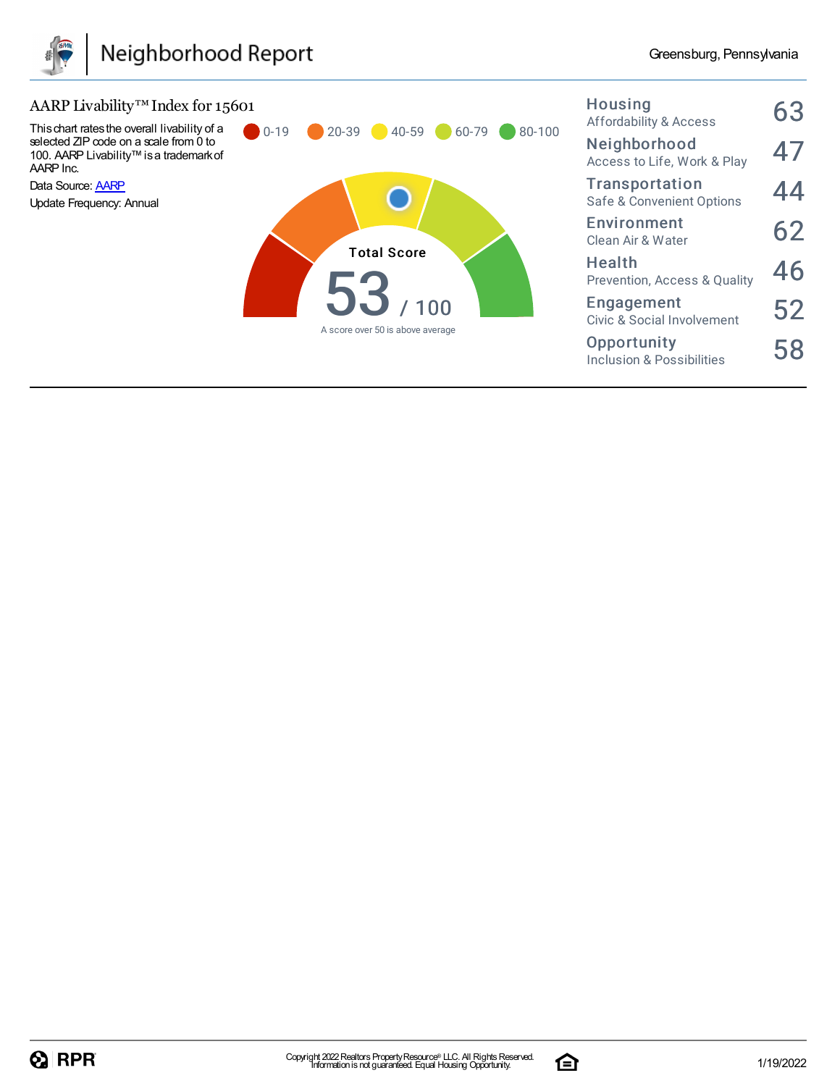